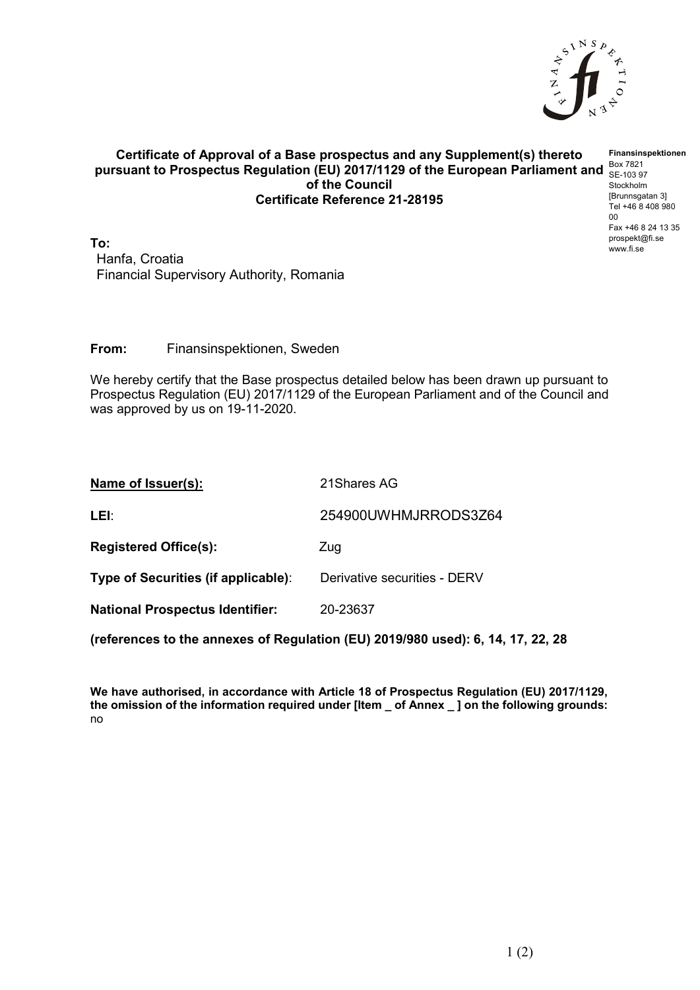

## **Certificate of Approval of a Base prospectus and any Supplement(s) thereto** pursuant to Prospectus Regulation (EU) 2017/1129 of the European Parliament and **Box 7821 of the Council Certificate Reference 21-28195**

**To:** Hanfa, Croatia Financial Supervisory Authority, Romania

**From:** Finansinspektionen, Sweden

We hereby certify that the Base prospectus detailed below has been drawn up pursuant to Prospectus Regulation (EU) 2017/1129 of the European Parliament and of the Council and was approved by us on 19-11-2020.

| Name of Issuer(s):                                                              | 21 Shares AG                 |  |  |
|---------------------------------------------------------------------------------|------------------------------|--|--|
| LEI:                                                                            | 254900UWHMJRRODS3Z64         |  |  |
| <b>Registered Office(s):</b>                                                    | Zug                          |  |  |
| Type of Securities (if applicable):                                             | Derivative securities - DERV |  |  |
| <b>National Prospectus Identifier:</b>                                          | 20-23637                     |  |  |
| (references to the annexes of Regulation (EU) 2019/980 used): 6, 14, 17, 22, 28 |                              |  |  |

**We have authorised, in accordance with Article 18 of Prospectus Regulation (EU) 2017/1129, the omission of the information required under [Item \_ of Annex \_ ] on the following grounds:** no

**Finansinspektionen** SE-103 97 Stockholm [Brunnsgatan 3] Tel +46 8 408 980 00 Fax +46 8 24 13 35 prospekt@fi.se www.fi.se